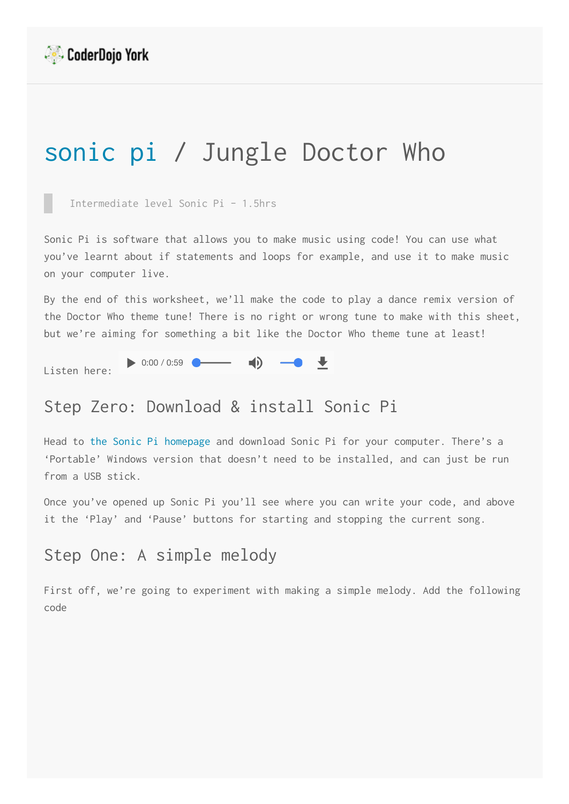

# [sonic pi](https://yorkdojo.github.io/worksheets/microbit/) / Jungle Doctor Who

Intermediate level Sonic Pi - 1.5hrs

Sonic Pi is software that allows you to make music using code! You can use what you've learnt about if statements and loops for example, and use it to make music on your computer live.

By the end of this worksheet, we'll make the code to play a dance remix version of the Doctor Who theme tune! There is no right or wrong tune to make with this sheet, but we're aiming for something a bit like the Doctor Who theme tune at least!

 $\begin{array}{ccccccccc}\n\bullet & \bullet & \bullet & \bullet\n\end{array}$ 

Listen here:

# Step Zero: Download & install Sonic Pi

 $\bullet$  0:00 / 0:59

Head to [the Sonic Pi homepage](http://sonic-pi.net/) and download Sonic Pi for your computer. There's a 'Portable' Windows version that doesn't need to be installed, and can just be run from a USB stick.

Once you've opened up Sonic Pi you'll see where you can write your code, and above it the 'Play' and 'Pause' buttons for starting and stopping the current song.

### Step One: A simple melody

First off, we're going to experiment with making a simple melody. Add the following code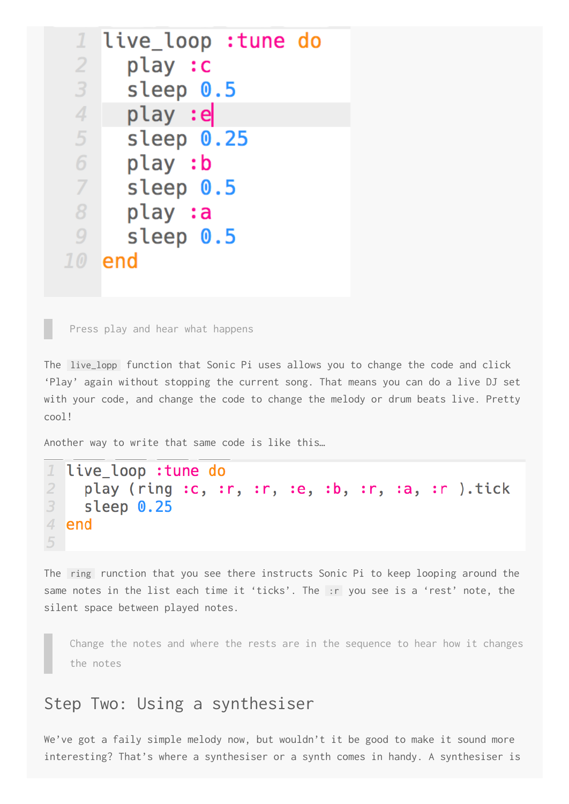| $\mathcal{I}$  | live_loop :tune do |
|----------------|--------------------|
| $\overline{2}$ | play :c            |
| 3              | sleep 0.5          |
| 4              | play :e            |
| 5              | sleep 0.25         |
| 6              | play :b            |
| 7              | sleep 0.5          |
| 8              | play :a            |
| 9              | sleep 0.5          |
| 7 <sub>0</sub> | end                |
|                |                    |

Press play and hear what happens

The live\_lopp function that Sonic Pi uses allows you to change the code and click 'Play' again without stopping the current song. That means you can do a live DJ set with your code, and change the code to change the melody or drum beats live. Pretty cool!

Another way to write that same code is like this…

```
1
  live_loop : tune do
\overline{2}play (ring :c, :r, :r, :e, :b, :r, :a, :r ).tick
3
     sleep 0.25
4 end
5
```
The ring runction that you see there instructs Sonic Pi to keep looping around the same notes in the list each time it 'ticks'. The :r you see is a 'rest' note, the silent space between played notes.

Change the notes and where the rests are in the sequence to hear how it changes the notes

#### Step Two: Using a synthesiser

We've got a faily simple melody now, but wouldn't it be good to make it sound more interesting? That's where a synthesiser or a synth comes in handy. A synthesiser is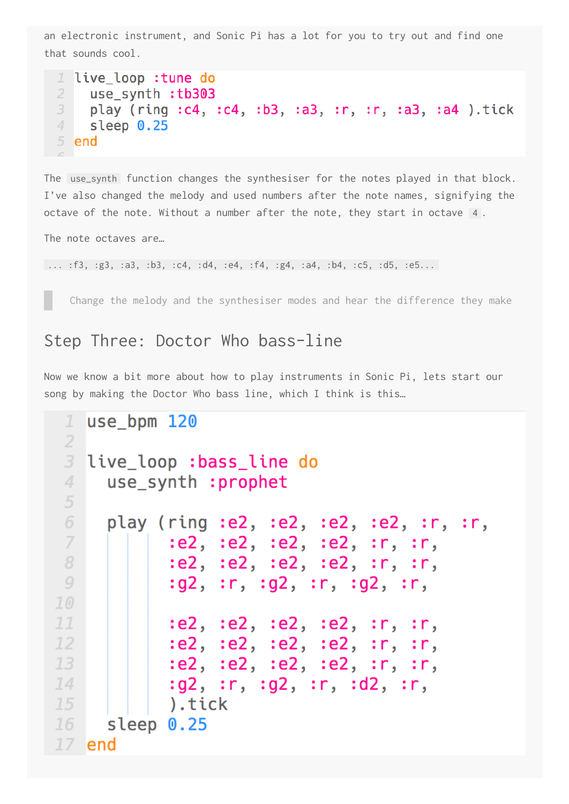an electronic instrument, and Sonic Pi has a lot for you to try out and find one that sounds cool.

```
1 live loop :tune do
     use synth : tb303
 \overline{2}play (ring :c4, :c4, :b3, :a3, :r, :r, :a3, :a4 ).tick
 3
 4 -sleep 0.255 end
```
The use\_synth function changes the synthesiser for the notes played in that block. I've also changed the melody and used numbers after the note names, signifying the octave of the note. Without a number after the note, they start in octave 4.

The note octaves are…

... :f3, :g3, :a3, :b3, :c4, :d4, :e4, :f4, :g4, :a4, :b4, :c5, :d5, :e5...

Change the melody and the synthesiser modes and hear the difference they make

#### Step Three: Doctor Who bass-line

Now we know a bit more about how to play instruments in Sonic Pi, lets start our song by making the Doctor Who bass line, which I think is this…

```
use bpm 120
 \mathcal{I}\overline{2}3 live_loop :bass_line do
 \overline{4}use_synth :prophet
 5
 6
     play (ring :e2, :e2, :e2, :e2, :r, ::,:e2, :e2, :e2, :e2, :r, :r,
 7
            :e2, :e2, :e2, :e2, :r, :r,
 8
            :g2, :r, :g2, :r, :g2, :r,
 9
10
            :e2, :e2, :e2, :e2, :r, :r,
1112
            :e2, :e2, :e2, :e2, :r, :r,
            :e2, :e2, :e2, :e2, :r, :r,
13
            :g2, :r, :g2, :r, :d2, :r,14
            ).tick
15
16
      sleep 0.25
17 end
```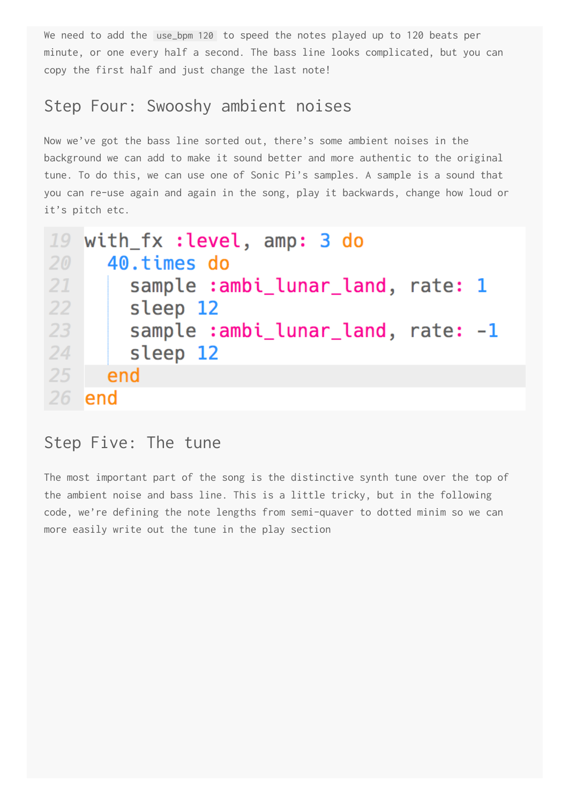We need to add the use\_bpm 120 to speed the notes played up to 120 beats per minute, or one every half a second. The bass line looks complicated, but you can copy the first half and just change the last note!

## Step Four: Swooshy ambient noises

Now we've got the bass line sorted out, there's some ambient noises in the background we can add to make it sound better and more authentic to the original tune. To do this, we can use one of Sonic Pi's samples. A sample is a sound that you can re-use again and again in the song, play it backwards, change how loud or it's pitch etc.

```
with fx : level, amp: 3 do
19
      40. times do
2021
        sample: ambi_lunar_land, rate: 1
22sleep 12
23
        sample : ambi_lunar_land, rate: -1
24
        sleep 12
25
      end
26<sup>2</sup>lend
```
#### Step Five: The tune

The most important part of the song is the distinctive synth tune over the top of the ambient noise and bass line. This is a little tricky, but in the following code, we're defining the note lengths from semi-quaver to dotted minim so we can more easily write out the tune in the play section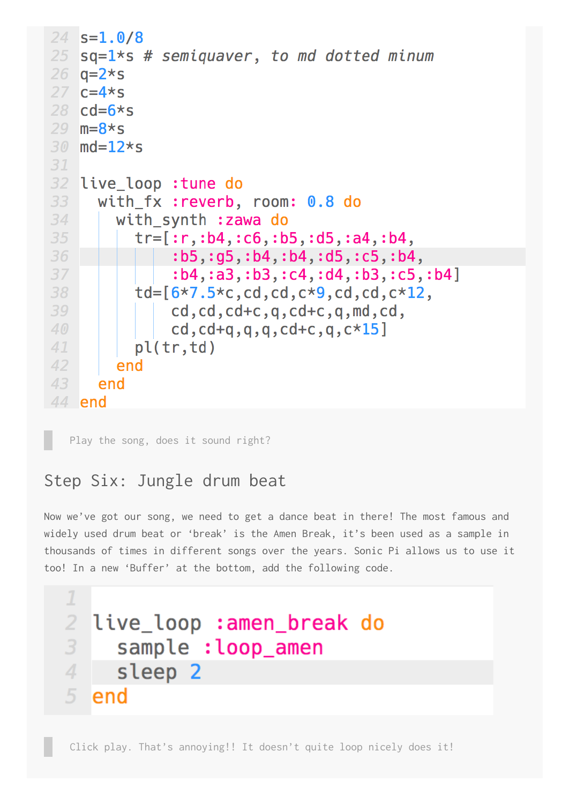```
24
    s = 1.0/825
   sq=1*s # semiquaver, to md dotted minum
26 q=2*s27 c=4*s28 cd=6*s29 m=8*s
30 \text{ md} = 12*s
31
32 live_loop :tune do
33
      with fx : reverb, room: 0.8 do
        with_synth : zawa do
34
35
           tr=[:r,:b4,:c6,:b5,:d5,:a4,:b4,36
                : b5, : g5, : b4, : b4, : d5, : c5, : b4,37
                :b4, : a3, : b3, : c4, : d4, : b3, : c5, : b4]
38
           td=[6*7.5*c, cd, cd, c*9, cd, cd, c*12,39
               cd, cd, cd+c, q, cd+c, q, md, cd,cd, cd+q, q, q, cd+c, q, c*15]
4041pl(tr, td)42
        end
43
      end
44 end
```
Play the song, does it sound right?

## Step Six: Jungle drum beat

Now we've got our song, we need to get a dance beat in there! The most famous and widely used drum beat or 'break' is the Amen Break, it's been used as a sample in thousands of times in different songs over the years. Sonic Pi allows us to use it too! In a new 'Buffer' at the bottom, add the following code.

```
\mathcal{I}\overline{2}live loop : amen break do
3
     sample : loop_amen
4sleep 2
5.
  lend
```
Click play. That's annoying!! It doesn't quite loop nicely does it!